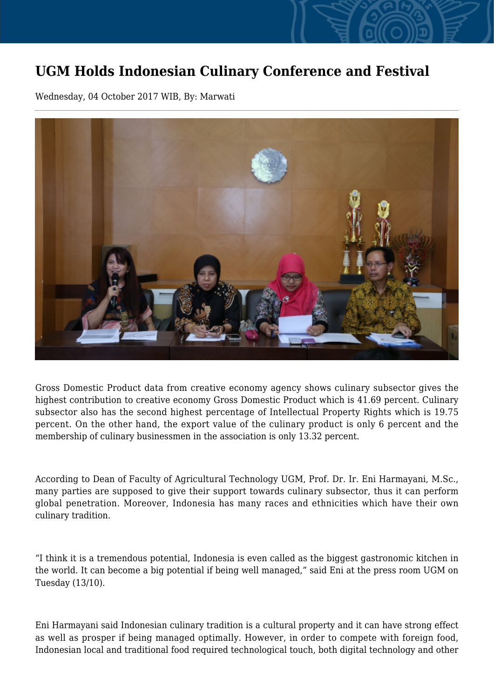## **UGM Holds Indonesian Culinary Conference and Festival**

Wednesday, 04 October 2017 WIB, By: Marwati



Gross Domestic Product data from creative economy agency shows culinary subsector gives the highest contribution to creative economy Gross Domestic Product which is 41.69 percent. Culinary subsector also has the second highest percentage of Intellectual Property Rights which is 19.75 percent. On the other hand, the export value of the culinary product is only 6 percent and the membership of culinary businessmen in the association is only 13.32 percent.

According to Dean of Faculty of Agricultural Technology UGM, Prof. Dr. Ir. Eni Harmayani, M.Sc., many parties are supposed to give their support towards culinary subsector, thus it can perform global penetration. Moreover, Indonesia has many races and ethnicities which have their own culinary tradition.

"I think it is a tremendous potential, Indonesia is even called as the biggest gastronomic kitchen in the world. It can become a big potential if being well managed," said Eni at the press room UGM on Tuesday (13/10).

Eni Harmayani said Indonesian culinary tradition is a cultural property and it can have strong effect as well as prosper if being managed optimally. However, in order to compete with foreign food, Indonesian local and traditional food required technological touch, both digital technology and other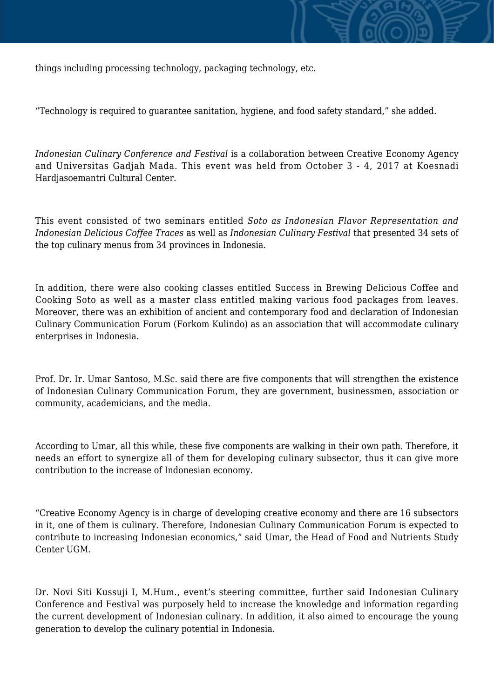

things including processing technology, packaging technology, etc.

"Technology is required to guarantee sanitation, hygiene, and food safety standard," she added.

*Indonesian Culinary Conference and Festival* is a collaboration between Creative Economy Agency and Universitas Gadjah Mada. This event was held from October 3 - 4, 2017 at Koesnadi Hardjasoemantri Cultural Center.

This event consisted of two seminars entitled *Soto as Indonesian Flavor Representation and Indonesian Delicious Coffee Traces* as well as *Indonesian Culinary Festival* that presented 34 sets of the top culinary menus from 34 provinces in Indonesia.

In addition, there were also cooking classes entitled Success in Brewing Delicious Coffee and Cooking Soto as well as a master class entitled making various food packages from leaves. Moreover, there was an exhibition of ancient and contemporary food and declaration of Indonesian Culinary Communication Forum (Forkom Kulindo) as an association that will accommodate culinary enterprises in Indonesia.

Prof. Dr. Ir. Umar Santoso, M.Sc. said there are five components that will strengthen the existence of Indonesian Culinary Communication Forum, they are government, businessmen, association or community, academicians, and the media.

According to Umar, all this while, these five components are walking in their own path. Therefore, it needs an effort to synergize all of them for developing culinary subsector, thus it can give more contribution to the increase of Indonesian economy.

"Creative Economy Agency is in charge of developing creative economy and there are 16 subsectors in it, one of them is culinary. Therefore, Indonesian Culinary Communication Forum is expected to contribute to increasing Indonesian economics," said Umar, the Head of Food and Nutrients Study Center UGM.

Dr. Novi Siti Kussuji I, M.Hum., event's steering committee, further said Indonesian Culinary Conference and Festival was purposely held to increase the knowledge and information regarding the current development of Indonesian culinary. In addition, it also aimed to encourage the young generation to develop the culinary potential in Indonesia.